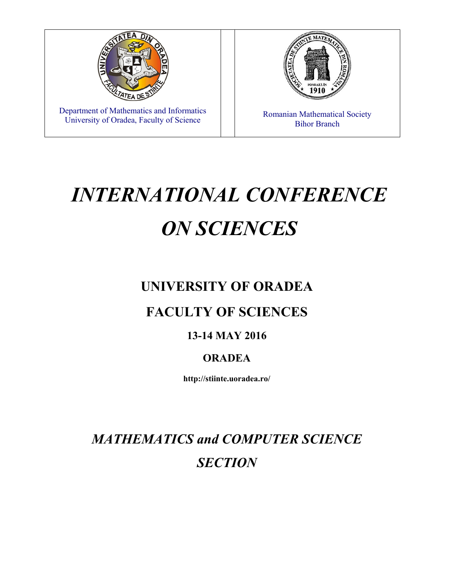

# *INTERNATIONAL CONFERENCE ON SCIENCES*

## **UNIVERSITY OF ORADEA**

### **FACULTY OF SCIENCES**

#### **13-14 MAY 2016**

#### **ORADEA**

**http://stiinte.uoradea.ro/** 

*MATHEMATICS and COMPUTER SCIENCE SECTION*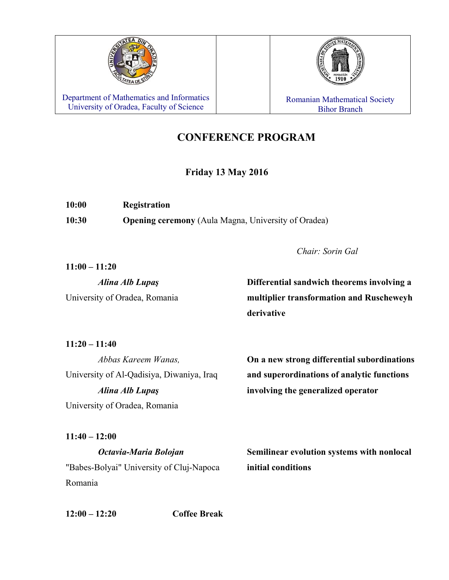

Department of Mathematics and Informatics Vepartment of Mathematics and Informatics<br>
University of Oradea, Faculty of Science Ribert Ribert Ribert Ribert Ribert Ribert Ribert Ribert Ribert Ribert

# Bihor Branch

#### **CONFERENCE PROGRAM**

#### **Friday 13 May 2016**

| 10:00 | <b>Registration</b>                                        |
|-------|------------------------------------------------------------|
| 10:30 | <b>Opening ceremony</b> (Aula Magna, University of Oradea) |

*Chair: Sorin Gal* 

**11:00 – 11:20**

*Alina Alb Lupaş* **Differential sandwich theorems involving a**  University of Oradea, Romania **multiplier transformation and Ruscheweyh derivative**

**11:20 – 11:40** 

*Abbas Kareem Wanas,* **On a new strong differential subordinations**  University of Al-Qadisiya, Diwaniya, Iraq **and superordinations of analytic functions**  *Alina Alb Lupaş* **involving the generalized operator** University of Oradea, Romania

**11:40 – 12:00**  *Octavia-Maria Bolojan* **Semilinear evolution systems with nonlocal**  "Babes-Bolyai" University of Cluj-Napoca **initial conditions** Romania

**12:00 – 12:20 Coffee Break**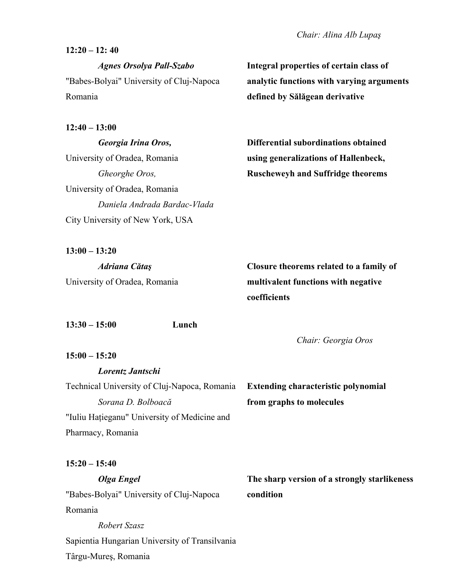#### **12:20 – 12: 40**

Romania **defined by Sălăgean derivative**

**12:40 – 13:00** 

University of Oradea, Romania **using generalizations of Hallenbeck,**  University of Oradea, Romania *Daniela Andrada Bardac-Vlada*  City University of New York, USA

**13:00 – 13:20** 

 *Agnes Orsolya Pall-Szabo* **Integral properties of certain class of**  "Babes-Bolyai" University of Cluj-Napoca **analytic functions with varying arguments** 

 *Georgia Irina Oros,* **Differential subordinations obtained**  *Gheorghe Oros,* **Ruscheweyh and Suffridge theorems**

 *Adriana Cătaş* **Closure theorems related to a family of**  University of Oradea, Romania **multivalent functions with negative coefficients**

**13:30 – 15:00 Lunch** 

*Lorentz Jantschi* 

*Chair: Georgia Oros* 

**15:00 – 15:20** 

| Technical University of Cluj-Napoca, Romania | <b>Extending characteristic polynomial</b> |
|----------------------------------------------|--------------------------------------------|
| Sorana D. Bolboacă                           | from graphs to molecules                   |
| "Iuliu Hațieganu" University of Medicine and |                                            |
| Pharmacy, Romania                            |                                            |

**15:20 – 15:40** 

"Babes-Bolyai" University of Cluj-Napoca **condition** Romania *Robert Szasz*  Sapientia Hungarian University of Transilvania

Târgu-Mureş, Romania

*Olga Engel* **The sharp version of a strongly starlikeness**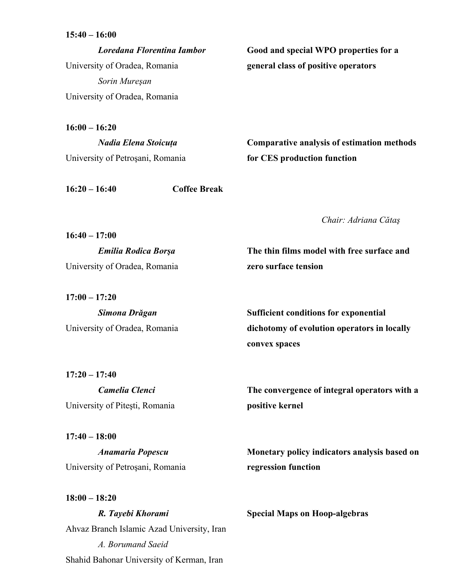**16:00 – 16:20** 

 *Loredana Florentina Iambor* **Good and special WPO properties for a**  University of Oradea, Romania **general class of positive operators** *Sorin Mureşan*  University of Oradea, Romania

University of Petroşani, Romania **for CES production function**

*Nadia Elena Stoicuţa* **Comparative analysis of estimation methods** 

**16:20 – 16:40 Coffee Break** 

*Chair: Adriana Cătaş*

University of Oradea, Romania **zero surface tension** 

**17:00 – 17:20** 

**18:00 – 18:20** 

**16:40 – 17:00** 

 *Simona Drăgan* **Sufficient conditions for exponential**  University of Oradea, Romania **dichotomy of evolution operators in locally convex spaces**

**17:20 – 17:40**  University of Piteşti, Romania **positive kernel**

**17:40 – 18:00**  University of Petroşani, Romania **regression function**

 *R. Tayebi Khorami* **Special Maps on Hoop-algebras** Ahvaz Branch Islamic Azad University, Iran *A. Borumand Saeid*  Shahid Bahonar University of Kerman, Iran

*Camelia Clenci* **The convergence of integral operators with a** 

*Anamaria Popescu* **Monetary policy indicators analysis based on** 

*Emilia Rodica Borşa* **The thin films model with free surface and**